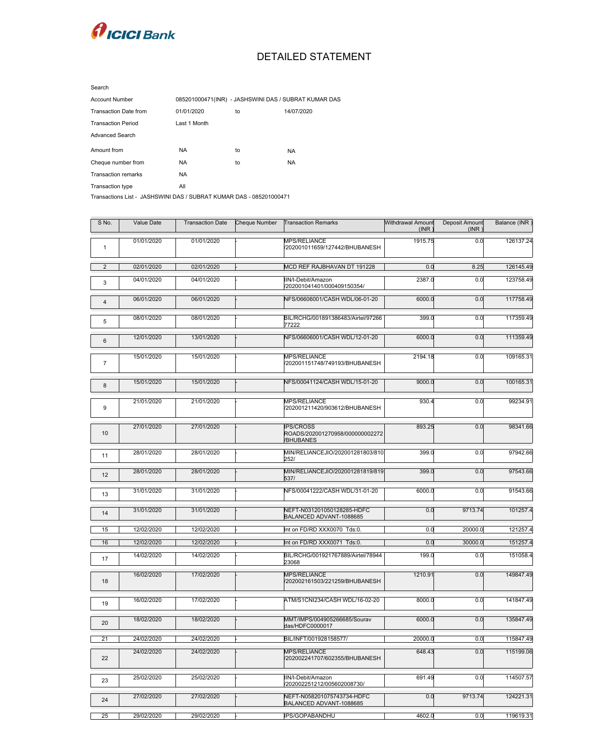

## DETAILED STATEMENT

| Search                       |                                                      |    |            |
|------------------------------|------------------------------------------------------|----|------------|
| <b>Account Number</b>        | 085201000471(INR) - JASHSWINI DAS / SUBRAT KUMAR DAS |    |            |
| <b>Transaction Date from</b> | 01/01/2020                                           | to | 14/07/2020 |
| <b>Transaction Period</b>    | Last 1 Month                                         |    |            |
| <b>Advanced Search</b>       |                                                      |    |            |
| Amount from                  | <b>NA</b>                                            | to | <b>NA</b>  |
| Cheque number from           | NA.                                                  | to | NA.        |
| <b>Transaction remarks</b>   | <b>NA</b>                                            |    |            |
| Transaction type             | All                                                  |    |            |

Transactions List - JASHSWINI DAS / SUBRAT KUMAR DAS - 085201000471

| S No.            | Value Date | <b>Transaction Date</b> | <b>Cheque Number</b> | <b>Transaction Remarks</b>                                                     | Withdrawal Amount<br>(INR) | Deposit Amount<br>(INR) | Balance (INR) |
|------------------|------------|-------------------------|----------------------|--------------------------------------------------------------------------------|----------------------------|-------------------------|---------------|
| $\mathbf 1$      | 01/01/2020 | 01/01/2020              |                      | MPS/RELIANCE<br>/202001011659/127442/BHUBANESH                                 | 1915.75                    | 0.0                     | 126137.24     |
| 2                | 02/01/2020 | 02/01/2020              |                      | MCD REF RAJBHAVAN DT 191228                                                    | 0.0                        | 8.25                    | 126145.49     |
| $\mathbf{3}$     | 04/01/2020 | 04/01/2020              |                      | IIN/I-Debit/Amazon<br>/202001041401/000409150354/                              | 2387.0                     | 0.0                     | 123758.49     |
| $\overline{4}$   | 06/01/2020 | 06/01/2020              |                      | NFS/06606001/CASH WDL/06-01-20                                                 | 6000.0                     | 0.0                     | 117758.49     |
| 5                | 08/01/2020 | 08/01/2020              |                      | BIL/RCHG/001891386483/Airtel/97266<br>77222                                    | 399.0                      | 0.0                     | 117359.49     |
| 6                | 12/01/2020 | 13/01/2020              |                      | NFS/06606001/CASH WDL/12-01-20                                                 | 6000.0                     | 0.0                     | 111359.49     |
| $\overline{7}$   | 15/01/2020 | 15/01/2020              |                      | MPS/RELIANCE<br>/202001151748/749193/BHUBANESH                                 | 2194.18                    | 0.0                     | 109165.31     |
| 8                | 15/01/2020 | 15/01/2020              |                      | NFS/00041124/CASH WDL/15-01-20                                                 | 9000.0                     | 0.0                     | 100165.31     |
| $\boldsymbol{9}$ | 21/01/2020 | 21/01/2020              |                      | MPS/RELIANCE<br>/202001211420/903612/BHUBANESH                                 | 930.4                      | 0.0                     | 99234.91      |
| 10               | 27/01/2020 | 27/01/2020              |                      | <b>IPS/CROSS</b><br>ROADS/202001270958/000000002272<br><b><i>VBHUBANES</i></b> | 893.25                     | 0.0                     | 98341.66      |
| 11               | 28/01/2020 | 28/01/2020              |                      | MIN/RELIANCEJIO/202001281803/810<br>252/                                       | 399.0                      | 0.0                     | 97942.66      |
| 12               | 28/01/2020 | 28/01/2020              |                      | MIN/RELIANCEJIO/202001281819/819<br>537/                                       | 399.0                      | 0.0                     | 97543.66      |
| 13               | 31/01/2020 | 31/01/2020              |                      | NFS/00041222/CASH WDL/31-01-20                                                 | 6000.0                     | 0.0                     | 91543.66      |
| 14               | 31/01/2020 | 31/01/2020              |                      | NEFT-N031201050128285-HDFC<br>BALANCED ADVANT-1088685                          | 0.0                        | 9713.74                 | 101257.4      |
| 15               | 12/02/2020 | 12/02/2020              |                      | Int on FD/RD XXX0070 Tds:0.                                                    | 0.0                        | 20000.0                 | 121257.4      |
| 16               | 12/02/2020 | 12/02/2020              |                      | Int on FD/RD XXX0071 Tds:0.                                                    | 0.0                        | 30000.0                 | 151257.4      |
| 17               | 14/02/2020 | 14/02/2020              |                      | BIL/RCHG/001921767889/Airtel/78944<br>23068                                    | 199.0                      | 0.0                     | 151058.4      |
| 18               | 16/02/2020 | 17/02/2020              |                      | <b>MPS/RELIANCE</b><br>/202002161503/221259/BHUBANESH                          | 1210.91                    | 0.0                     | 149847.49     |
| 19               | 16/02/2020 | 17/02/2020              |                      | ATM/S1CNI234/CASH WDL/16-02-20                                                 | 8000.0                     | 0.0                     | 141847.49     |
| 20               | 18/02/2020 | 18/02/2020              |                      | MMT/IMPS/004905266685/Sourav<br>das/HDFC0000017                                | 6000.0                     | 0.0                     | 135847.49     |
| 21               | 24/02/2020 | 24/02/2020              |                      | BIL/INFT/001928158577/                                                         | 20000.0                    | 0.0                     | 115847.49     |
| 22               | 24/02/2020 | 24/02/2020              |                      | <b>MPS/RELIANCE</b><br>V202002241707/602355/BHUBANESH                          | 648.43                     | 0.0                     | 115199.06     |
| 23               | 25/02/2020 | 25/02/2020              |                      | IIN/I-Debit/Amazon<br>/202002251212/005602008730/                              | 691.49                     | 0.0                     | 114507.57     |
| 24               | 27/02/2020 | 27/02/2020              |                      | NEFT-N058201075743734-HDFC<br>BALANCED ADVANT-1088685                          | 0.0                        | 9713.74                 | 124221.31     |
| 25               | 29/02/2020 | 29/02/2020              |                      | <b>IPS/GOPABANDHU</b>                                                          | 4602.0                     | 0.0                     | 119619.31     |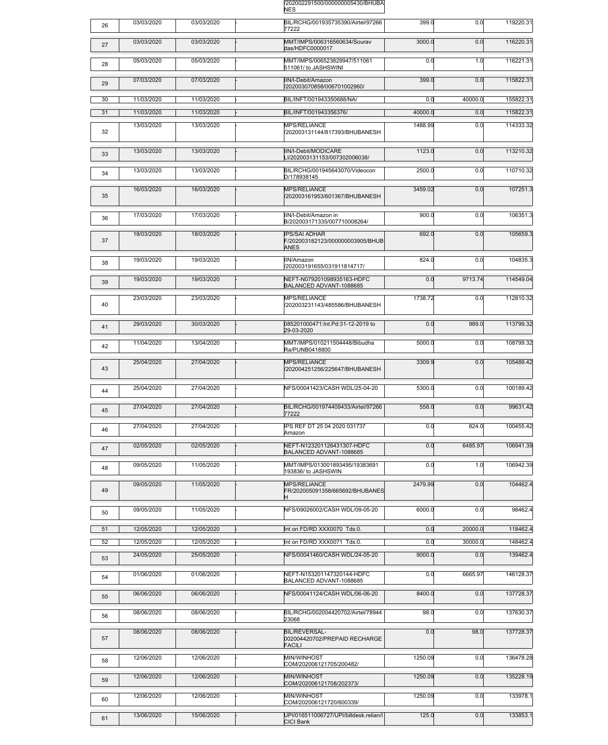

| 26 | 03/03/2020 | 03/03/2020 | BIL/RCHG/001935735390/Airtel/97266<br>77222                             | 399.0            | 0.0     | 119220.31 |
|----|------------|------------|-------------------------------------------------------------------------|------------------|---------|-----------|
| 27 | 03/03/2020 | 03/03/2020 | MMT/IMPS/006316560634/Sourav<br>das/HDFC0000017                         | 3000.0           | 0.0     | 116220.31 |
| 28 | 05/03/2020 | 05/03/2020 | MMT/IMPS/006523829947/511061<br>511061/ to JASHSWINI                    | 0.0              | 1.0     | 116221.31 |
| 29 | 07/03/2020 | 07/03/2020 | IIN/I-Debit/Amazon<br>V202003070858/006701002960/                       | 399.0            | 0.0     | 115822.31 |
| 30 | 11/03/2020 | 11/03/2020 | BIL/INFT/001943350688/NA/                                               | 0.0              | 40000.0 | 155822.31 |
| 31 | 11/03/2020 | 11/03/2020 | BIL/INFT/001943356376/                                                  | 40000.0          | 0.0     | 115822.31 |
| 32 | 13/03/2020 | 13/03/2020 | MPS/RELIANCE<br>/202003131144/817393/BHUBANESH                          | 1488.99          | 0.0     | 114333.32 |
| 33 | 13/03/2020 | 13/03/2020 | IIN/I-Debit/MODICARE<br>LI/202003131153/007302006038/                   | 1123.0           | 0.0     | 113210.32 |
| 34 | 13/03/2020 | 13/03/2020 | BIL/RCHG/001945643070/Videocon<br>D/178938145                           | 2500.0           | 0.0     | 110710.32 |
| 35 | 16/03/2020 | 16/03/2020 | <b>MPS/RELIANCE</b><br>/202003161953/601367/BHUBANESH                   | 3459.02          | 0.0     | 107251.3  |
| 36 | 17/03/2020 | 17/03/2020 | IIN/I-Debit/Amazon in<br>B/202003171335/007710008264/                   | 900.0            | 0.0     | 106351.3  |
| 37 | 18/03/2020 | 18/03/2020 | <b>IPS/SAI ADHAR</b><br>F/202003182123/000000003905/BHUB<br><b>ANES</b> | 692.0            | 0.0     | 105659.3  |
| 38 | 19/03/2020 | 19/03/2020 | IIN/Amazon<br>/202003191655/031911814717/                               | 824.0            | 0.0     | 104835.3  |
| 39 | 19/03/2020 | 19/03/2020 | NEFT-N079201098935163-HDFC<br>BALANCED ADVANT-1088685                   | 0.0              | 9713.74 | 114549.04 |
| 40 | 23/03/2020 | 23/03/2020 | MPS/RELIANCE<br>/202003231143/485586/BHUBANESH                          | 1738.72          | 0.0     | 112810.32 |
| 41 | 29/03/2020 | 30/03/2020 | 085201000471:Int.Pd:31-12-2019 to<br>29-03-2020                         | $\overline{0.0}$ | 989.0   | 113799.32 |
| 42 | 11/04/2020 | 13/04/2020 | MMT/IMPS/010211504448/Bibudha<br>Ra/PUNB0418800                         | 5000.0           | 0.0     | 108799.32 |
| 43 | 25/04/2020 | 27/04/2020 | MPS/RELIANCE<br>V202004251256/225647/BHUBANESH                          | 3309.9           | 0.0     | 105489.42 |
| 44 | 25/04/2020 | 27/04/2020 | NFS/00041423/CASH WDL/25-04-20                                          | 5300.0           | 0.0     | 100189.42 |
| 45 | 27/04/2020 | 27/04/2020 | BIL/RCHG/001974409433/Airtel/97266<br>77222                             | 558.0            | 0.0     | 99631.42  |
| 46 | 27/04/2020 | 27/04/2020 | IPS REF DT 25 04 2020 031737<br>Amazon                                  | 0.0              | 824.0   | 100455.42 |
| 47 | 02/05/2020 | 02/05/2020 | NEFT-N123201126431307-HDFC<br>BALANCED ADVANT-1088685                   | 0.0              | 6485.97 | 106941.39 |
| 48 | 09/05/2020 | 11/05/2020 | MMT/IMPS/013001893495/19383691<br>193836/ to JASHSWIN                   | 0.0              | 1.0     | 106942.39 |
| 49 | 09/05/2020 | 11/05/2020 | MPS/RELIANCE<br>FR/202005091358/665692/BHUBANES                         | 2479.99          | 0.0     | 104462.4  |
| 50 | 09/05/2020 | 11/05/2020 | NFS/09026002/CASH WDL/09-05-20                                          | 6000.0           | 0.0     | 98462.4   |
| 51 | 12/05/2020 | 12/05/2020 | Int on FD/RD XXX0070 Tds:0.                                             | 0.0              | 20000.0 | 118462.4  |
| 52 | 12/05/2020 | 12/05/2020 | Int on FD/RD XXX0071 Tds:0.                                             | 0.0              | 30000.0 | 148462.4  |
| 53 | 24/05/2020 | 25/05/2020 | NFS/00041460/CASH WDL/24-05-20                                          | 9000.0           | 0.0     | 139462.4  |
| 54 | 01/06/2020 | 01/06/2020 | NEFT-N153201147320144-HDFC<br>BALANCED ADVANT-1088685                   | 0.0              | 6665.97 | 146128.37 |
| 55 | 06/06/2020 | 06/06/2020 | NFS/00041124/CASH WDL/06-06-20                                          | 8400.0           | 0.0     | 137728.37 |
| 56 | 08/06/2020 | 08/06/2020 | BIL/RCHG/002004420702/Airtel/78944<br>23068                             | 98.0             | 0.0     | 137630.37 |
| 57 | 08/06/2020 | 08/06/2020 | <b>BIL/REVERSAL-</b><br>002004420702/PREPAID RECHARGE<br><b>FACILI</b>  | 0.0              | 98.0    | 137728.37 |
| 58 | 12/06/2020 | 12/06/2020 | MIN/WINHOST<br>COM/202006121705/200482/                                 | 1250.09          | 0.0     | 136478.28 |
| 59 | 12/06/2020 | 12/06/2020 | MIN/WINHOST<br>COM/202006121708/202373/                                 | 1250.09          | 0.0     | 135228.19 |
| 60 | 12/06/2020 | 12/06/2020 | MIN/WINHOST<br>COM/202006121720/600339/                                 | 1250.09          | 0.0     | 133978.1  |
| 61 | 13/06/2020 | 15/06/2020 | UPI/016511006727/UPI/billdesk.relian/l<br>CICI Bank                     | 125.0            | 0.0     | 133853.1  |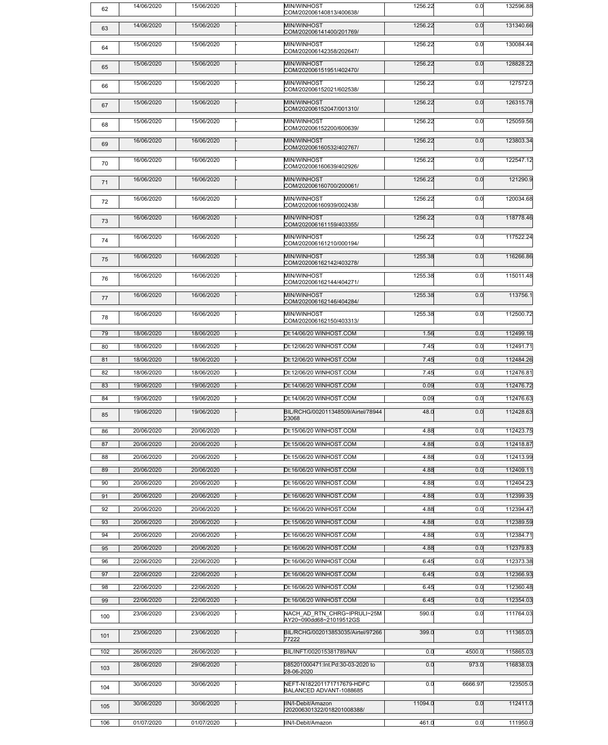| 62  | 14/06/2020 | 15/06/2020 | MIN/WINHOST<br>COM/202006140813/400638/                | 1256.22 | 0.0     | 132596.88 |
|-----|------------|------------|--------------------------------------------------------|---------|---------|-----------|
| 63  | 14/06/2020 | 15/06/2020 | MIN/WINHOST<br>COM/202006141400/201769/                | 1256.22 | 0.0     | 131340.66 |
| 64  | 15/06/2020 | 15/06/2020 | MIN/WINHOST<br>COM/202006142358/202647/                | 1256.22 | 0.0     | 130084.44 |
| 65  | 15/06/2020 | 15/06/2020 | MIN/WINHOST<br>COM/202006151951/402470/                | 1256.22 | 0.0     | 128828.22 |
| 66  | 15/06/2020 | 15/06/2020 | MIN/WINHOST<br>COM/202006152021/602538/                | 1256.22 | 0.0     | 127572.0  |
| 67  | 15/06/2020 | 15/06/2020 | MIN/WINHOST<br>COM/202006152047/001310/                | 1256.22 | 0.0     | 126315.78 |
| 68  | 15/06/2020 | 15/06/2020 | MIN/WINHOST<br>COM/202006152200/600639/                | 1256.22 | 0.0     | 125059.56 |
| 69  | 16/06/2020 | 16/06/2020 | MIN/WINHOST<br>COM/202006160532/402767/                | 1256.22 | 0.0     | 123803.34 |
| 70  | 16/06/2020 | 16/06/2020 | MIN/WINHOST<br>COM/202006160639/402926/                | 1256.22 | 0.0     | 122547.12 |
| 71  | 16/06/2020 | 16/06/2020 | MIN/WINHOST<br>COM/202006160700/200061/                | 1256.22 | 0.0     | 121290.9  |
| 72  | 16/06/2020 | 16/06/2020 | MIN/WINHOST<br>COM/202006160939/002438/                | 1256.22 | 0.0     | 120034.68 |
| 73  | 16/06/2020 | 16/06/2020 | MIN/WINHOST<br>COM/202006161159/403355/                | 1256.22 | 0.0     | 118778.46 |
| 74  | 16/06/2020 | 16/06/2020 | MIN/WINHOST<br>COM/202006161210/000194/                | 1256.22 | 0.0     | 117522.24 |
| 75  | 16/06/2020 | 16/06/2020 | MIN/WINHOST<br>COM/202006162142/403278/                | 1255.38 | 0.0     | 116266.86 |
| 76  | 16/06/2020 | 16/06/2020 | MIN/WINHOST<br>COM/202006162144/404271/                | 1255.38 | 0.0     | 115011.48 |
| 77  | 16/06/2020 | 16/06/2020 | MIN/WINHOST<br>COM/202006162146/404284/                | 1255.38 | 0.0     | 113756.1  |
| 78  | 16/06/2020 | 16/06/2020 | MIN/WINHOST<br>COM/202006162150/403313/                | 1255.38 | 0.0     | 112500.72 |
| 79  | 18/06/2020 | 18/06/2020 | Dt:14/06/20 WINHOST.COM                                | 1.56    | 0.0     | 112499.16 |
| 80  | 18/06/2020 | 18/06/2020 | Dt:12/06/20 WINHOST.COM                                | 7.45    | 0.0     | 112491.71 |
| 81  | 18/06/2020 | 18/06/2020 | Dt:12/06/20 WINHOST.COM                                | 7.45    | 0.0     | 112484.26 |
| 82  | 18/06/2020 | 18/06/2020 | Dt:12/06/20 WINHOST.COM                                | 7.45    | 0.0     | 112476.81 |
| 83  | 19/06/2020 | 19/06/2020 | Dt:14/06/20 WINHOST.COM                                | 0.09    | 0.0     | 112476.72 |
| 84  | 19/06/2020 | 19/06/2020 | Dt:14/06/20 WINHOST.COM                                | 0.09    | 0.0     | 112476.63 |
| 85  | 19/06/2020 | 19/06/2020 | BIL/RCHG/002011348509/Airtel/78944<br>23068            | 48.0    | 0.0     | 112428.63 |
| 86  | 20/06/2020 | 20/06/2020 | Dt:15/06/20 WINHOST.COM                                | 4.88    | 0.0     | 112423.75 |
| 87  | 20/06/2020 | 20/06/2020 | Dt:15/06/20 WINHOST.COM                                | 4.88    | 0.0     | 112418.87 |
| 88  | 20/06/2020 | 20/06/2020 | Dt:15/06/20 WINHOST.COM                                | 4.88    | 0.0     | 112413.99 |
| 89  | 20/06/2020 | 20/06/2020 | Dt:16/06/20 WINHOST.COM                                | 4.88    | 0.0     | 112409.11 |
| 90  | 20/06/2020 | 20/06/2020 | Dt:16/06/20 WINHOST.COM                                | 4.88    | 0.0     | 112404.23 |
| 91  | 20/06/2020 | 20/06/2020 | Dt:16/06/20 WINHOST.COM                                | 4.88    | 0.0     | 112399.35 |
| 92  | 20/06/2020 | 20/06/2020 | Dt:16/06/20 WINHOST.COM                                | 4.88    | 0.0     | 112394.47 |
| 93  | 20/06/2020 | 20/06/2020 | Dt:15/06/20 WINHOST.COM                                | 4.88    | 0.0     | 112389.59 |
| 94  | 20/06/2020 | 20/06/2020 | Dt:16/06/20 WINHOST.COM                                | 4.88    | 0.0     | 112384.71 |
| 95  | 20/06/2020 | 20/06/2020 | Dt:16/06/20 WINHOST.COM                                | 4.88    | 0.0     | 112379.83 |
| 96  | 22/06/2020 | 22/06/2020 | Dt:16/06/20 WINHOST.COM                                | 6.45    | 0.0     | 112373.38 |
| 97  | 22/06/2020 | 22/06/2020 | Dt:16/06/20 WINHOST.COM                                | 6.45    | 0.0     | 112366.93 |
| 98  | 22/06/2020 | 22/06/2020 | Dt:16/06/20 WINHOST.COM                                | 6.45    | 0.0     | 112360.48 |
| 99  | 22/06/2020 | 22/06/2020 | Dt:16/06/20 WINHOST.COM                                | 6.45    | 0.0     | 112354.03 |
| 100 | 23/06/2020 | 23/06/2020 | NACH AD RTN CHRG~IPRULI~25M<br>AY20~090dd68~21019512GS | 590.0   | 0.0     | 111764.03 |
| 101 | 23/06/2020 | 23/06/2020 | BIL/RCHG/002013853035/Airtel/97266<br>77222            | 399.0   | 0.0     | 111365.03 |
| 102 | 26/06/2020 | 26/06/2020 | BIL/INFT/002015381789/NA/                              | 0.0     | 4500.0  | 115865.03 |
| 103 | 28/06/2020 | 29/06/2020 | 085201000471:Int.Pd:30-03-2020 to<br>28-06-2020        | 0.0     | 973.0   | 116838.03 |
| 104 | 30/06/2020 | 30/06/2020 | NEFT-N182201171717679-HDFC<br>BALANCED ADVANT-1088685  | 0.0     | 6666.97 | 123505.0  |
| 105 | 30/06/2020 | 30/06/2020 | IIN/I-Debit/Amazon<br>/202006301322/018201008388/      | 11094.0 | 0.0     | 112411.0  |
| 106 | 01/07/2020 | 01/07/2020 | IIN/I-Debit/Amazon                                     | 461.0   | 0.0     | 111950.0  |